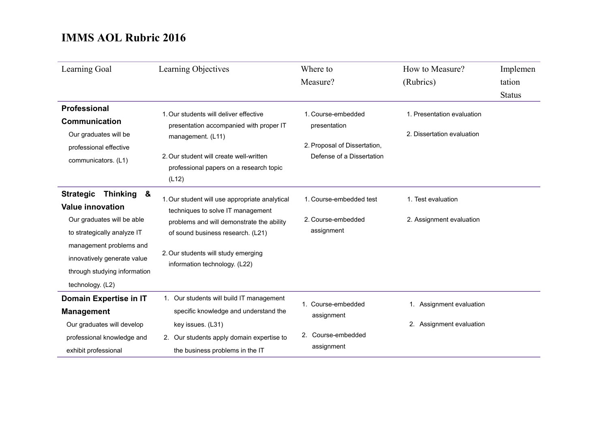| Learning Goal                                                                                                                                                                                                                                  | Learning Objectives                                                                                                                                                                                                                           | Where to<br>Measure?                                                                            | How to Measure?<br>(Rubrics)                             | Implemen<br>tation<br><b>Status</b> |
|------------------------------------------------------------------------------------------------------------------------------------------------------------------------------------------------------------------------------------------------|-----------------------------------------------------------------------------------------------------------------------------------------------------------------------------------------------------------------------------------------------|-------------------------------------------------------------------------------------------------|----------------------------------------------------------|-------------------------------------|
| <b>Professional</b><br><b>Communication</b><br>Our graduates will be<br>professional effective<br>communicators. (L1)                                                                                                                          | 1. Our students will deliver effective<br>presentation accompanied with proper IT<br>management. (L11)<br>2. Our student will create well-written<br>professional papers on a research topic<br>(L12)                                         | 1. Course-embedded<br>presentation<br>2. Proposal of Dissertation,<br>Defense of a Dissertation | 1. Presentation evaluation<br>2. Dissertation evaluation |                                     |
| <b>Strategic</b><br><b>Thinking</b><br>&<br><b>Value innovation</b><br>Our graduates will be able<br>to strategically analyze IT<br>management problems and<br>innovatively generate value<br>through studying information<br>technology. (L2) | 1. Our student will use appropriate analytical<br>techniques to solve IT management<br>problems and will demonstrate the ability<br>of sound business research. (L21)<br>2. Our students will study emerging<br>information technology. (L22) | 1. Course-embedded test<br>2. Course-embedded<br>assignment                                     | 1. Test evaluation<br>2. Assignment evaluation           |                                     |
| Domain Expertise in IT<br><b>Management</b><br>Our graduates will develop<br>professional knowledge and<br>exhibit professional                                                                                                                | 1. Our students will build IT management<br>specific knowledge and understand the<br>key issues. (L31)<br>2. Our students apply domain expertise to<br>the business problems in the IT                                                        | 1. Course-embedded<br>assignment<br>2. Course-embedded<br>assignment                            | 1. Assignment evaluation<br>2. Assignment evaluation     |                                     |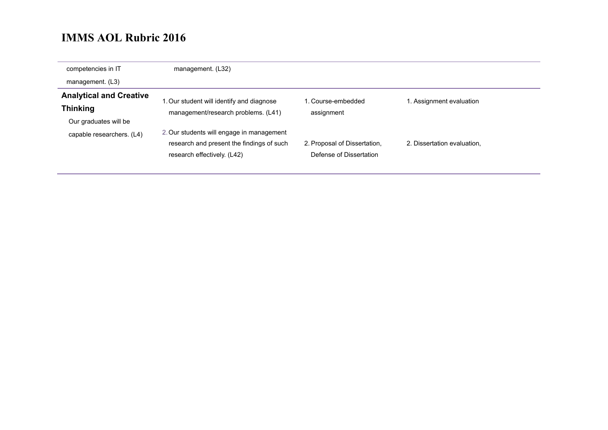| competencies in IT             | management. (L32)                         |                              |                             |
|--------------------------------|-------------------------------------------|------------------------------|-----------------------------|
| management. (L3)               |                                           |                              |                             |
| <b>Analytical and Creative</b> | 1. Our student will identify and diagnose | l. Course-embedded           | 1. Assignment evaluation    |
| <b>Thinking</b>                | management/research problems. (L41)       | assignment                   |                             |
| Our graduates will be          |                                           |                              |                             |
| capable researchers. (L4)      | 2. Our students will engage in management |                              |                             |
|                                | research and present the findings of such | 2. Proposal of Dissertation, | 2. Dissertation evaluation, |
|                                | research effectively. (L42)               | Defense of Dissertation      |                             |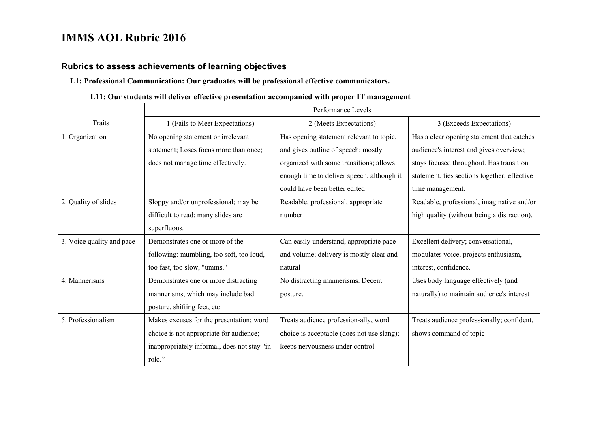#### **Rubrics to assess achievements of learning objectives**

#### **L1: Professional Communication: Our graduates will be professional effective communicators.**

#### **L11: Our students will deliver effective presentation accompanied with proper IT management**

|                           | Performance Levels                          |                                            |                                              |  |
|---------------------------|---------------------------------------------|--------------------------------------------|----------------------------------------------|--|
| Traits                    | 1 (Fails to Meet Expectations)              | 2 (Meets Expectations)                     | 3 (Exceeds Expectations)                     |  |
| 1. Organization           | No opening statement or irrelevant          | Has opening statement relevant to topic,   | Has a clear opening statement that catches   |  |
|                           | statement; Loses focus more than once;      | and gives outline of speech; mostly        | audience's interest and gives overview;      |  |
|                           | does not manage time effectively.           | organized with some transitions; allows    | stays focused throughout. Has transition     |  |
|                           |                                             | enough time to deliver speech, although it | statement, ties sections together; effective |  |
|                           |                                             | could have been better edited              | time management.                             |  |
| 2. Quality of slides      | Sloppy and/or unprofessional; may be        | Readable, professional, appropriate        | Readable, professional, imaginative and/or   |  |
|                           | difficult to read; many slides are          | number                                     | high quality (without being a distraction).  |  |
|                           | superfluous.                                |                                            |                                              |  |
| 3. Voice quality and pace | Demonstrates one or more of the             | Can easily understand; appropriate pace    | Excellent delivery; conversational,          |  |
|                           | following: mumbling, too soft, too loud,    | and volume; delivery is mostly clear and   | modulates voice, projects enthusiasm,        |  |
|                           | too fast, too slow, "umms."                 | natural                                    | interest, confidence.                        |  |
| 4. Mannerisms             | Demonstrates one or more distracting        | No distracting mannerisms. Decent          | Uses body language effectively (and          |  |
|                           | mannerisms, which may include bad           | posture.                                   | naturally) to maintain audience's interest   |  |
|                           | posture, shifting feet, etc.                |                                            |                                              |  |
| 5. Professionalism        | Makes excuses for the presentation; word    | Treats audience profession-ally, word      | Treats audience professionally; confident,   |  |
|                           | choice is not appropriate for audience;     | choice is acceptable (does not use slang); | shows command of topic                       |  |
|                           | inappropriately informal, does not stay "in | keeps nervousness under control            |                                              |  |
|                           | role."                                      |                                            |                                              |  |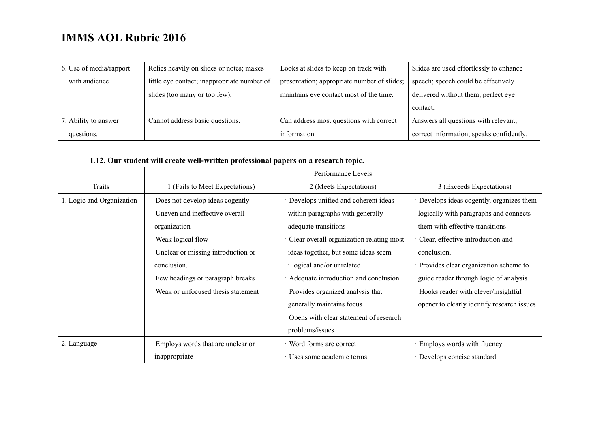| 6. Use of media/rapport | Relies heavily on slides or notes; makes    | Looks at slides to keep on track with       | Slides are used effortlessly to enhance  |
|-------------------------|---------------------------------------------|---------------------------------------------|------------------------------------------|
| with audience           | little eye contact; inappropriate number of | presentation; appropriate number of slides; | speech; speech could be effectively      |
|                         | slides (too many or too few).               | maintains eye contact most of the time.     | delivered without them; perfect eye      |
|                         |                                             |                                             | contact.                                 |
| 7. Ability to answer    | Cannot address basic questions.             | Can address most questions with correct     | Answers all questions with relevant,     |
| questions.              |                                             | information                                 | correct information; speaks confidently. |

### **L12. Our student will create well-written professional papers on a research topic.**

|                           | Performance Levels                 |                                          |                                            |  |
|---------------------------|------------------------------------|------------------------------------------|--------------------------------------------|--|
| Traits                    | (Fails to Meet Expectations)       | 2 (Meets Expectations)                   | 3 (Exceeds Expectations)                   |  |
| 1. Logic and Organization | Does not develop ideas cogently    | Develops unified and coherent ideas      | Develops ideas cogently, organizes them    |  |
|                           | Uneven and ineffective overall     | within paragraphs with generally         | logically with paragraphs and connects     |  |
|                           | organization                       | adequate transitions                     | them with effective transitions            |  |
|                           | Weak logical flow                  | Clear overall organization relating most | Clear, effective introduction and          |  |
|                           | Unclear or missing introduction or | ideas together, but some ideas seem      | conclusion.                                |  |
|                           | conclusion.                        | illogical and/or unrelated               | Provides clear organization scheme to      |  |
|                           | Few headings or paragraph breaks   | Adequate introduction and conclusion     | guide reader through logic of analysis     |  |
|                           | Weak or unfocused thesis statement | Provides organized analysis that         | Hooks reader with clever/insightful        |  |
|                           |                                    | generally maintains focus                | opener to clearly identify research issues |  |
|                           |                                    | Opens with clear statement of research   |                                            |  |
|                           |                                    | problems/issues                          |                                            |  |
| 2. Language               | Employs words that are unclear or  | · Word forms are correct                 | Employs words with fluency                 |  |
|                           | inappropriate                      | Uses some academic terms                 | Develops concise standard                  |  |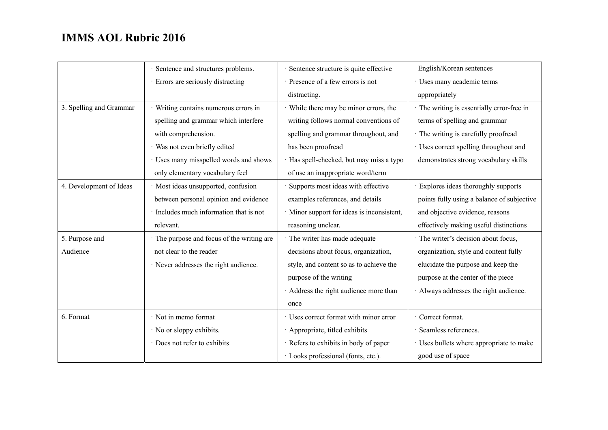|                         | Sentence and structures problems.        | Sentence structure is quite effective      | English/Korean sentences                   |
|-------------------------|------------------------------------------|--------------------------------------------|--------------------------------------------|
|                         | Errors are seriously distracting         | Presence of a few errors is not            | Uses many academic terms                   |
|                         |                                          | distracting.                               | appropriately                              |
| 3. Spelling and Grammar | Writing contains numerous errors in      | · While there may be minor errors, the     | The writing is essentially error-free in   |
|                         | spelling and grammar which interfere     | writing follows normal conventions of      | terms of spelling and grammar              |
|                         | with comprehension.                      | spelling and grammar throughout, and       | The writing is carefully proofread         |
|                         | · Was not even briefly edited            | has been proofread                         | · Uses correct spelling throughout and     |
|                         | Uses many misspelled words and shows     | · Has spell-checked, but may miss a typo   | demonstrates strong vocabulary skills      |
|                         | only elementary vocabulary feel          | of use an inappropriate word/term          |                                            |
| 4. Development of Ideas | · Most ideas unsupported, confusion      | Supports most ideas with effective         | Explores ideas thoroughly supports         |
|                         | between personal opinion and evidence    | examples references, and details           | points fully using a balance of subjective |
|                         | Includes much information that is not    | · Minor support for ideas is inconsistent, | and objective evidence, reasons            |
|                         | relevant.                                | reasoning unclear.                         | effectively making useful distinctions     |
| 5. Purpose and          | The purpose and focus of the writing are | · The writer has made adequate             | The writer's decision about focus,         |
| Audience                | not clear to the reader                  | decisions about focus, organization,       | organization, style and content fully      |
|                         | · Never addresses the right audience.    | style, and content so as to achieve the    | elucidate the purpose and keep the         |
|                         |                                          | purpose of the writing                     | purpose at the center of the piece         |
|                         |                                          | Address the right audience more than       | Always addresses the right audience.       |
|                         |                                          | once                                       |                                            |
| 6. Format               | · Not in memo format                     | · Uses correct format with minor error     | Correct format.                            |
|                         | · No or sloppy exhibits.                 | Appropriate, titled exhibits               | Seamless references.                       |
|                         | Does not refer to exhibits               | · Refers to exhibits in body of paper      | Uses bullets where appropriate to make     |
|                         |                                          | · Looks professional (fonts, etc.).        | good use of space                          |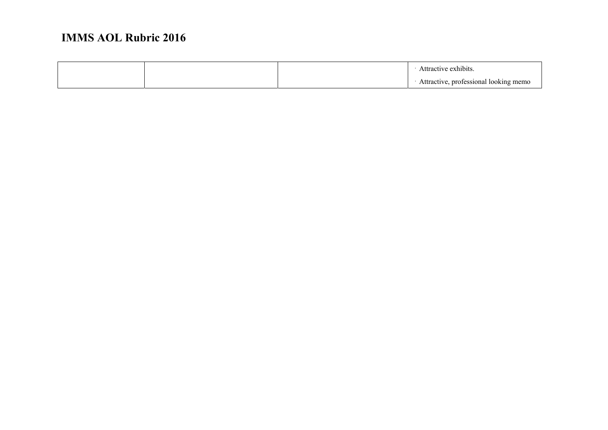|  | h1b1ts                                                                     |
|--|----------------------------------------------------------------------------|
|  | professional<br>looking<br>emo<br>$\lambda$ statute<br>$\blacksquare$<br>ັ |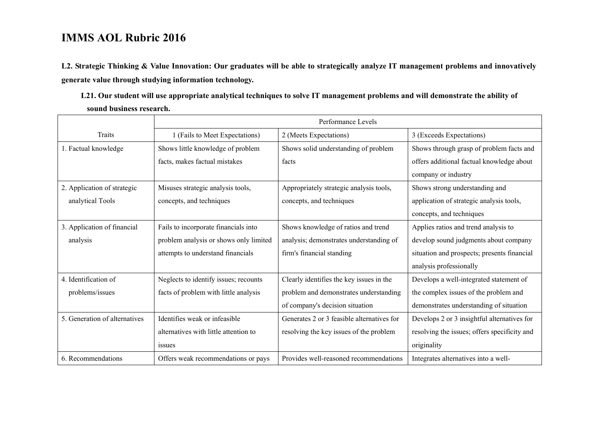**L2. Strategic Thinking & Value Innovation: Our graduates will be able to strategically analyze IT management problems and innovatively generate value through studying information technology.** 

**L21. Our student will use appropriate analytical techniques to solve IT management problems and will demonstrate the ability of sound business research.** 

|                               | Performance Levels                     |                                            |                                              |  |
|-------------------------------|----------------------------------------|--------------------------------------------|----------------------------------------------|--|
| Traits                        | 1 (Fails to Meet Expectations)         | 2 (Meets Expectations)                     | 3 (Exceeds Expectations)                     |  |
| 1. Factual knowledge          | Shows little knowledge of problem      | Shows solid understanding of problem       | Shows through grasp of problem facts and     |  |
|                               | facts, makes factual mistakes          | facts                                      | offers additional factual knowledge about    |  |
|                               |                                        |                                            | company or industry                          |  |
| 2. Application of strategic   | Misuses strategic analysis tools,      | Appropriately strategic analysis tools,    | Shows strong understanding and               |  |
| analytical Tools              | concepts, and techniques               | concepts, and techniques                   | application of strategic analysis tools,     |  |
|                               |                                        |                                            | concepts, and techniques                     |  |
| 3. Application of financial   | Fails to incorporate financials into   | Shows knowledge of ratios and trend        | Applies ratios and trend analysis to         |  |
| analysis                      | problem analysis or shows only limited | analysis; demonstrates understanding of    | develop sound judgments about company        |  |
|                               | attempts to understand financials      | firm's financial standing                  | situation and prospects; presents financial  |  |
|                               |                                        |                                            | analysis professionally                      |  |
| 4. Identification of          | Neglects to identify issues; recounts  | Clearly identifies the key issues in the   | Develops a well-integrated statement of      |  |
| problems/issues               | facts of problem with little analysis  | problem and demonstrates understanding     | the complex issues of the problem and        |  |
|                               |                                        | of company's decision situation            | demonstrates understanding of situation      |  |
| 5. Generation of alternatives | Identifies weak or infeasible          | Generates 2 or 3 feasible alternatives for | Develops 2 or 3 insightful alternatives for  |  |
|                               | alternatives with little attention to  | resolving the key issues of the problem    | resolving the issues; offers specificity and |  |
|                               | issues                                 |                                            | originality                                  |  |
| 6. Recommendations            | Offers weak recommendations or pays    | Provides well-reasoned recommendations     | Integrates alternatives into a well-         |  |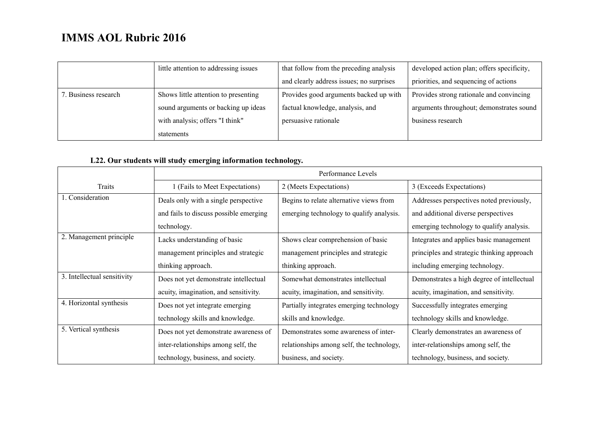|                      | little attention to addressing issues | that follow from the preceding analysis  | developed action plan; offers specificity, |
|----------------------|---------------------------------------|------------------------------------------|--------------------------------------------|
|                      |                                       | and clearly address issues; no surprises | priorities, and sequencing of actions      |
| 7. Business research | Shows little attention to presenting  | Provides good arguments backed up with   | Provides strong rationale and convincing   |
|                      | sound arguments or backing up ideas   | factual knowledge, analysis, and         | arguments throughout; demonstrates sound   |
|                      | with analysis; offers "I think"       | persuasive rationale                     | business research                          |
|                      | statements                            |                                          |                                            |

### **L22. Our students will study emerging information technology.**

|                             | Performance Levels                     |                                           |                                            |  |
|-----------------------------|----------------------------------------|-------------------------------------------|--------------------------------------------|--|
| Traits                      | 1 (Fails to Meet Expectations)         | 2 (Meets Expectations)                    | 3 (Exceeds Expectations)                   |  |
| 1. Consideration            | Deals only with a single perspective   | Begins to relate alternative views from   | Addresses perspectives noted previously,   |  |
|                             | and fails to discuss possible emerging | emerging technology to qualify analysis.  | and additional diverse perspectives        |  |
|                             | technology.                            |                                           | emerging technology to qualify analysis.   |  |
| 2. Management principle     | Lacks understanding of basic           | Shows clear comprehension of basic        | Integrates and applies basic management    |  |
|                             | management principles and strategic    | management principles and strategic       | principles and strategic thinking approach |  |
|                             | thinking approach.                     | thinking approach.                        | including emerging technology.             |  |
| 3. Intellectual sensitivity | Does not yet demonstrate intellectual  | Somewhat demonstrates intellectual        | Demonstrates a high degree of intellectual |  |
|                             | acuity, imagination, and sensitivity.  | acuity, imagination, and sensitivity.     | acuity, imagination, and sensitivity.      |  |
| 4. Horizontal synthesis     | Does not yet integrate emerging        | Partially integrates emerging technology  | Successfully integrates emerging           |  |
|                             | technology skills and knowledge.       | skills and knowledge.                     | technology skills and knowledge.           |  |
| 5. Vertical synthesis       | Does not yet demonstrate awareness of  | Demonstrates some awareness of inter-     | Clearly demonstrates an awareness of       |  |
|                             | inter-relationships among self, the    | relationships among self, the technology, | inter-relationships among self, the        |  |
|                             | technology, business, and society.     | business, and society.                    | technology, business, and society.         |  |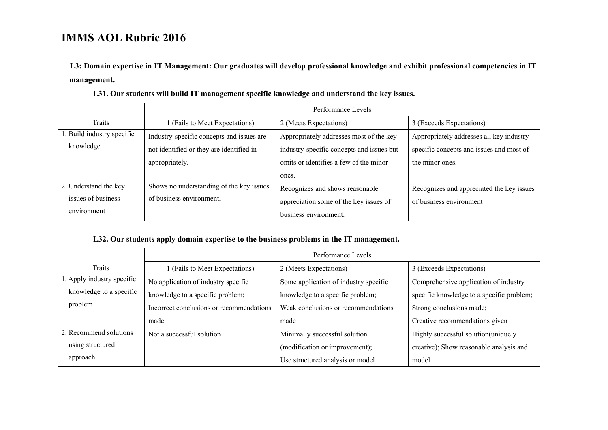**L3: Domain expertise in IT Management: Our graduates will develop professional knowledge and exhibit professional competencies in IT management.** 

|                            | Performance Levels                        |                                           |                                           |  |
|----------------------------|-------------------------------------------|-------------------------------------------|-------------------------------------------|--|
| Traits                     | 1 (Fails to Meet Expectations)            | 2 (Meets Expectations)                    | 3 (Exceeds Expectations)                  |  |
| 1. Build industry specific | Industry-specific concepts and issues are | Appropriately addresses most of the key   | Appropriately addresses all key industry- |  |
| knowledge                  | not identified or they are identified in  | industry-specific concepts and issues but | specific concepts and issues and most of  |  |
|                            | appropriately.                            | omits or identifies a few of the minor    | the minor ones.                           |  |
|                            |                                           | ones.                                     |                                           |  |
| 2. Understand the key      | Shows no understanding of the key issues  | Recognizes and shows reasonable           | Recognizes and appreciated the key issues |  |
| issues of business         | of business environment.                  | appreciation some of the key issues of    | of business environment                   |  |
| environment                |                                           | business environment.                     |                                           |  |

**L31. Our students will build IT management specific knowledge and understand the key issues.** 

#### **L32. Our students apply domain expertise to the business problems in the IT management.**

|                            | Performance Levels                       |                                       |                                           |  |
|----------------------------|------------------------------------------|---------------------------------------|-------------------------------------------|--|
| Traits                     | I (Fails to Meet Expectations)           | 2 (Meets Expectations)                | 3 (Exceeds Expectations)                  |  |
| 1. Apply industry specific | No application of industry specific      | Some application of industry specific | Comprehensive application of industry     |  |
| knowledge to a specific    | knowledge to a specific problem;         | knowledge to a specific problem;      | specific knowledge to a specific problem; |  |
| problem                    | Incorrect conclusions or recommendations | Weak conclusions or recommendations   | Strong conclusions made;                  |  |
|                            | made                                     | made                                  | Creative recommendations given            |  |
| 2. Recommend solutions     | Not a successful solution                | Minimally successful solution         | Highly successful solution (uniquely      |  |
| using structured           |                                          | (modification or improvement);        | creative); Show reasonable analysis and   |  |
| approach                   |                                          | Use structured analysis or model      | model                                     |  |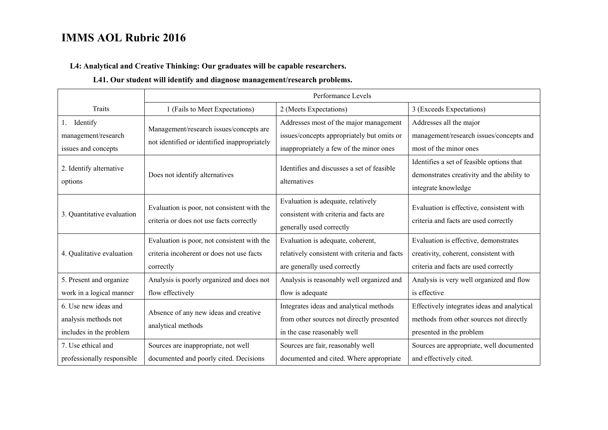#### **L4: Analytical and Creative Thinking: Our graduates will be capable researchers.**

#### **L41. Our student will identify and diagnose management/research problems.**

|                                                                         | Performance Levels                                                                                    |                                                                                                                                 |                                                                                                                         |
|-------------------------------------------------------------------------|-------------------------------------------------------------------------------------------------------|---------------------------------------------------------------------------------------------------------------------------------|-------------------------------------------------------------------------------------------------------------------------|
| <b>Traits</b>                                                           | 1 (Fails to Meet Expectations)                                                                        | 2 (Meets Expectations)                                                                                                          | 3 (Exceeds Expectations)                                                                                                |
| Identify<br>1.<br>management/research<br>issues and concepts            | Management/research issues/concepts are<br>not identified or identified inappropriately               | Addresses most of the major management<br>issues/concepts appropriately but omits or<br>inappropriately a few of the minor ones | Addresses all the major<br>management/research issues/concepts and<br>most of the minor ones                            |
| 2. Identify alternative<br>options                                      | Does not identify alternatives                                                                        | Identifies and discusses a set of feasible<br>alternatives                                                                      | Identifies a set of feasible options that<br>demonstrates creativity and the ability to<br>integrate knowledge          |
| 3. Quantitative evaluation                                              | Evaluation is poor, not consistent with the<br>criteria or does not use facts correctly               | Evaluation is adequate, relatively<br>consistent with criteria and facts are<br>generally used correctly                        | Evaluation is effective, consistent with<br>criteria and facts are used correctly                                       |
| 4. Qualitative evaluation                                               | Evaluation is poor, not consistent with the<br>criteria incoherent or does not use facts<br>correctly | Evaluation is adequate, coherent,<br>relatively consistent with criteria and facts<br>are generally used correctly              | Evaluation is effective, demonstrates<br>creativity, coherent, consistent with<br>criteria and facts are used correctly |
| 5. Present and organize<br>work in a logical manner                     | Analysis is poorly organized and does not<br>flow effectively                                         | Analysis is reasonably well organized and<br>flow is adequate                                                                   | Analysis is very well organized and flow<br>is effective                                                                |
| 6. Use new ideas and<br>analysis methods not<br>includes in the problem | Absence of any new ideas and creative<br>analytical methods                                           | Integrates ideas and analytical methods<br>from other sources not directly presented<br>in the case reasonably well             | Effectively integrates ideas and analytical<br>methods from other sources not directly<br>presented in the problem      |
| 7. Use ethical and<br>professionally responsible                        | Sources are inappropriate, not well<br>documented and poorly cited. Decisions                         | Sources are fair, reasonably well<br>documented and cited. Where appropriate                                                    | Sources are appropriate, well documented<br>and effectively cited.                                                      |